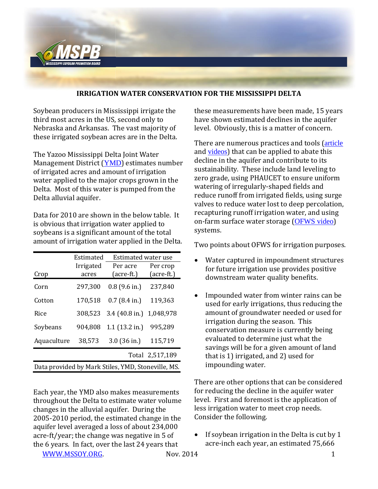

## **IRRIGATION WATER CONSERVATION FOR THE MISSISSIPPI DELTA**

Soybean producers in Mississippi irrigate the third most acres in the US, second only to Nebraska and Arkansas. The vast majority of these irrigated soybean acres are in the Delta.

The Yazoo Mississippi Delta Joint Water Management District ([YMD](http://www.ymd.org/)) estimates number of irrigated acres and amount of irrigation water applied to the major crops grown in the Delta. Most of this water is pumped from the Delta alluvial aquifer.

Data for 2010 are shown in the below table. It is obvious that irrigation water applied to soybeans is a significant amount of the total amount of irrigation water applied in the Delta.

|                                                    | Estimated | <b>Estimated water use</b> |                 |
|----------------------------------------------------|-----------|----------------------------|-----------------|
|                                                    | Irrigated | Per acre                   | Per crop        |
| Crop                                               | acres     | (acre-ft.)                 | (acre-ft.)      |
| Corn                                               | 297,300   | $0.8$ (9.6 in.)            | 237,840         |
| Cotton                                             | 170,518   | $0.7$ (8.4 in.)            | 119,363         |
| Rice                                               | 308,523   | 3.4 (40.8 in.)             | 1,048,978       |
| Soybeans                                           | 904,808   | $1.1$ (13.2 in.)           | 995,289         |
| Aquaculture                                        | 38,573    | $3.0$ (36 in.)             | 115,719         |
|                                                    |           |                            | Total 2,517,189 |
| Data provided by Mark Stiles, YMD, Stoneville, MS. |           |                            |                 |

Each year, the YMD also makes measurements throughout the Delta to estimate water volume changes in the alluvial aquifer. During the 2005-2010 period, the estimated change in the aquifer level averaged a loss of about 234,000 acre-ft/year; the change was negative in 5 of the 6 years. In fact, over the last 24 years that

[WWW.MSSOY.ORG.](http://www.mssoy.org/) 1 Nov. 2014 1

these measurements have been made, 15 years have shown estimated declines in the aquifer level. Obviously, this is a matter of concern.

There are numerous practices and tools ([article](http://mssoy.org/blog/description-of-irrigation-water-conservation-tools/) and [videos](https://www.youtube.com/watch?feature=player_embedded&v=aFd7FDY285o)) that can be applied to abate this decline in the aquifer and contribute to its sustainability. These include land leveling to zero grade, using PHAUCET to ensure uniform watering of irregularly-shaped fields and reduce runoff from irrigated fields, using surge valves to reduce water lost to deep percolation, recapturing runoff irrigation water, and using on-farm surface water storage ([OFWS video](https://www.youtube.com/watch?v=L2WXhYyMu3g&feature=player_embedded)) systems.

Two points about OFWS for irrigation purposes.

- Water captured in impoundment structures for future irrigation use provides positive downstream water quality benefits.
- Impounded water from winter rains can be used for early irrigations, thus reducing the amount of groundwater needed or used for irrigation during the season. This conservation measure is currently being evaluated to determine just what the savings will be for a given amount of land that is 1) irrigated, and 2) used for impounding water.

There are other options that can be considered for reducing the decline in the aquifer water level. First and foremost is the application of less irrigation water to meet crop needs. Consider the following.

 $\bullet$  If soybean irrigation in the Delta is cut by 1 acre-inch each year, an estimated 75,666